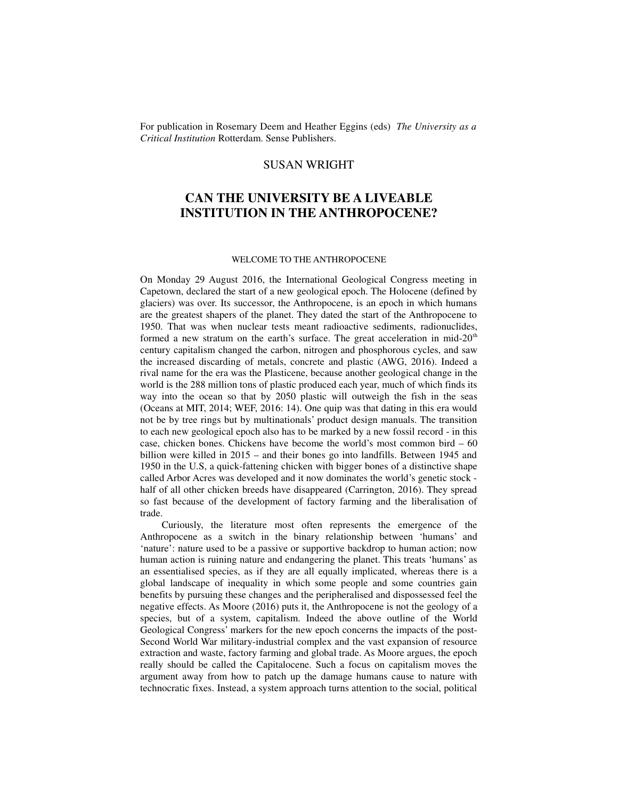For publication in Rosemary Deem and Heather Eggins (eds) *The University as a Critical Institution* Rotterdam. Sense Publishers.

## SUSAN WRIGHT

# **CAN THE UNIVERSITY BE A LIVEABLE INSTITUTION IN THE ANTHROPOCENE?**

#### WELCOME TO THE ANTHROPOCENE

On Monday 29 August 2016, the International Geological Congress meeting in Capetown, declared the start of a new geological epoch. The Holocene (defined by glaciers) was over. Its successor, the Anthropocene, is an epoch in which humans are the greatest shapers of the planet. They dated the start of the Anthropocene to 1950. That was when nuclear tests meant radioactive sediments, radionuclides, formed a new stratum on the earth's surface. The great acceleration in mid-20<sup>th</sup> century capitalism changed the carbon, nitrogen and phosphorous cycles, and saw the increased discarding of metals, concrete and plastic (AWG, 2016). Indeed a rival name for the era was the Plasticene, because another geological change in the world is the 288 million tons of plastic produced each year, much of which finds its way into the ocean so that by 2050 plastic will outweigh the fish in the seas (Oceans at MIT, 2014; WEF, 2016: 14). One quip was that dating in this era would not be by tree rings but by multinationals' product design manuals. The transition to each new geological epoch also has to be marked by a new fossil record - in this case, chicken bones. Chickens have become the world's most common bird  $-60$ billion were killed in 2015 – and their bones go into landfills. Between 1945 and 1950 in the U.S, a quick-fattening chicken with bigger bones of a distinctive shape called Arbor Acres was developed and it now dominates the world's genetic stock half of all other chicken breeds have disappeared (Carrington, 2016). They spread so fast because of the development of factory farming and the liberalisation of trade.

Curiously, the literature most often represents the emergence of the Anthropocene as a switch in the binary relationship between 'humans' and 'nature': nature used to be a passive or supportive backdrop to human action; now human action is ruining nature and endangering the planet. This treats 'humans' as an essentialised species, as if they are all equally implicated, whereas there is a global landscape of inequality in which some people and some countries gain benefits by pursuing these changes and the peripheralised and dispossessed feel the negative effects. As Moore (2016) puts it, the Anthropocene is not the geology of a species, but of a system, capitalism. Indeed the above outline of the World Geological Congress' markers for the new epoch concerns the impacts of the post-Second World War military-industrial complex and the vast expansion of resource extraction and waste, factory farming and global trade. As Moore argues, the epoch really should be called the Capitalocene. Such a focus on capitalism moves the argument away from how to patch up the damage humans cause to nature with technocratic fixes. Instead, a system approach turns attention to the social, political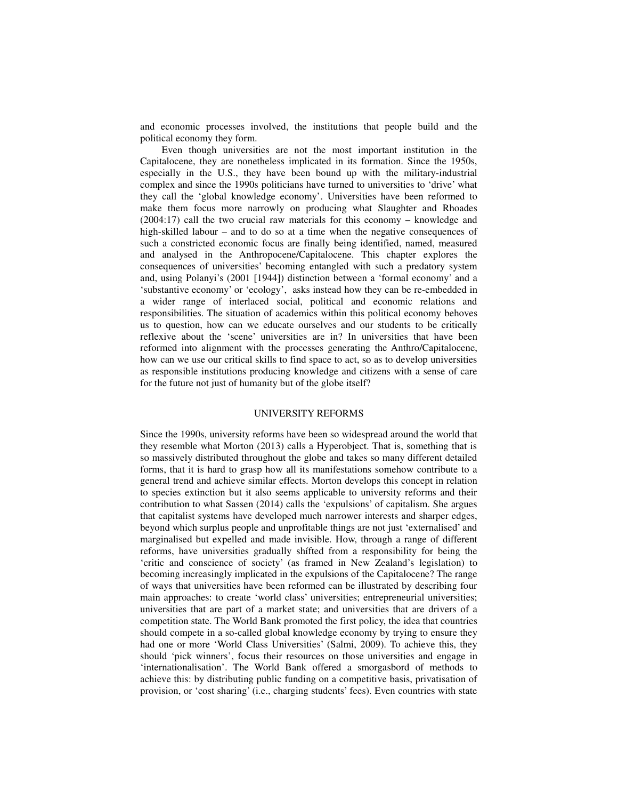and economic processes involved, the institutions that people build and the political economy they form.

Even though universities are not the most important institution in the Capitalocene, they are nonetheless implicated in its formation. Since the 1950s, especially in the U.S., they have been bound up with the military-industrial complex and since the 1990s politicians have turned to universities to 'drive' what they call the 'global knowledge economy'. Universities have been reformed to make them focus more narrowly on producing what Slaughter and Rhoades (2004:17) call the two crucial raw materials for this economy – knowledge and high-skilled labour – and to do so at a time when the negative consequences of such a constricted economic focus are finally being identified, named, measured and analysed in the Anthropocene/Capitalocene. This chapter explores the consequences of universities' becoming entangled with such a predatory system and, using Polanyi's (2001 [1944]) distinction between a 'formal economy' and a 'substantive economy' or 'ecology', asks instead how they can be re-embedded in a wider range of interlaced social, political and economic relations and responsibilities. The situation of academics within this political economy behoves us to question, how can we educate ourselves and our students to be critically reflexive about the 'scene' universities are in? In universities that have been reformed into alignment with the processes generating the Anthro/Capitalocene, how can we use our critical skills to find space to act, so as to develop universities as responsible institutions producing knowledge and citizens with a sense of care for the future not just of humanity but of the globe itself?

#### UNIVERSITY REFORMS

Since the 1990s, university reforms have been so widespread around the world that they resemble what Morton (2013) calls a Hyperobject. That is, something that is so massively distributed throughout the globe and takes so many different detailed forms, that it is hard to grasp how all its manifestations somehow contribute to a general trend and achieve similar effects. Morton develops this concept in relation to species extinction but it also seems applicable to university reforms and their contribution to what Sassen (2014) calls the 'expulsions' of capitalism. She argues that capitalist systems have developed much narrower interests and sharper edges, beyond which surplus people and unprofitable things are not just 'externalised' and marginalised but expelled and made invisible. How, through a range of different reforms, have universities gradually shífted from a responsibility for being the 'critic and conscience of society' (as framed in New Zealand's legislation) to becoming increasingly implicated in the expulsions of the Capitalocene? The range of ways that universities have been reformed can be illustrated by describing four main approaches: to create 'world class' universities; entrepreneurial universities; universities that are part of a market state; and universities that are drivers of a competition state. The World Bank promoted the first policy, the idea that countries should compete in a so-called global knowledge economy by trying to ensure they had one or more 'World Class Universities' (Salmi, 2009). To achieve this, they should 'pick winners', focus their resources on those universities and engage in 'internationalisation'. The World Bank offered a smorgasbord of methods to achieve this: by distributing public funding on a competitive basis, privatisation of provision, or 'cost sharing' (i.e., charging students' fees). Even countries with state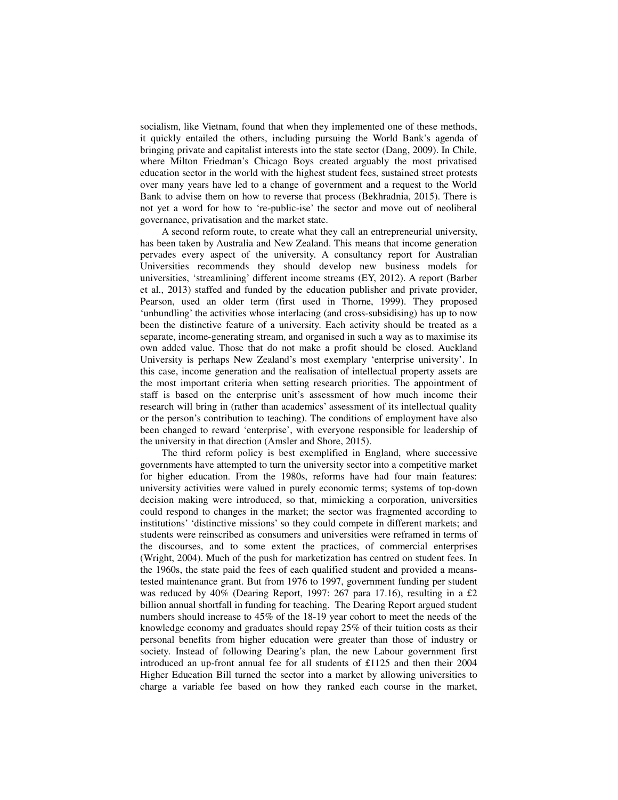socialism, like Vietnam, found that when they implemented one of these methods, it quickly entailed the others, including pursuing the World Bank's agenda of bringing private and capitalist interests into the state sector (Dang, 2009). In Chile, where Milton Friedman's Chicago Boys created arguably the most privatised education sector in the world with the highest student fees, sustained street protests over many years have led to a change of government and a request to the World Bank to advise them on how to reverse that process (Bekhradnia, 2015). There is not yet a word for how to 're-public-ise' the sector and move out of neoliberal governance, privatisation and the market state.

A second reform route, to create what they call an entrepreneurial university, has been taken by Australia and New Zealand. This means that income generation pervades every aspect of the university. A consultancy report for Australian Universities recommends they should develop new business models for universities, 'streamlining' different income streams (EY, 2012). A report (Barber et al., 2013) staffed and funded by the education publisher and private provider, Pearson, used an older term (first used in Thorne, 1999). They proposed 'unbundling' the activities whose interlacing (and cross-subsidising) has up to now been the distinctive feature of a university. Each activity should be treated as a separate, income-generating stream, and organised in such a way as to maximise its own added value. Those that do not make a profit should be closed. Auckland University is perhaps New Zealand's most exemplary 'enterprise university'. In this case, income generation and the realisation of intellectual property assets are the most important criteria when setting research priorities. The appointment of staff is based on the enterprise unit's assessment of how much income their research will bring in (rather than academics' assessment of its intellectual quality or the person's contribution to teaching). The conditions of employment have also been changed to reward 'enterprise', with everyone responsible for leadership of the university in that direction (Amsler and Shore, 2015).

The third reform policy is best exemplified in England, where successive governments have attempted to turn the university sector into a competitive market for higher education. From the 1980s, reforms have had four main features: university activities were valued in purely economic terms; systems of top-down decision making were introduced, so that, mimicking a corporation, universities could respond to changes in the market; the sector was fragmented according to institutions' 'distinctive missions' so they could compete in different markets; and students were reinscribed as consumers and universities were reframed in terms of the discourses, and to some extent the practices, of commercial enterprises (Wright, 2004). Much of the push for marketization has centred on student fees. In the 1960s, the state paid the fees of each qualified student and provided a meanstested maintenance grant. But from 1976 to 1997, government funding per student was reduced by 40% (Dearing Report, 1997: 267 para 17.16), resulting in a £2 billion annual shortfall in funding for teaching. The Dearing Report argued student numbers should increase to 45% of the 18-19 year cohort to meet the needs of the knowledge economy and graduates should repay 25% of their tuition costs as their personal benefits from higher education were greater than those of industry or society. Instead of following Dearing's plan, the new Labour government first introduced an up-front annual fee for all students of £1125 and then their 2004 Higher Education Bill turned the sector into a market by allowing universities to charge a variable fee based on how they ranked each course in the market,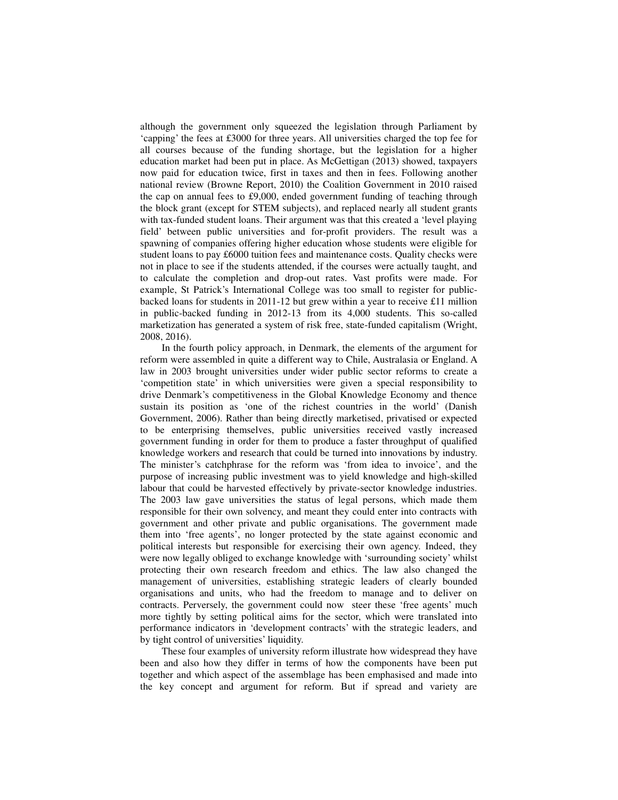although the government only squeezed the legislation through Parliament by 'capping' the fees at £3000 for three years. All universities charged the top fee for all courses because of the funding shortage, but the legislation for a higher education market had been put in place. As McGettigan (2013) showed, taxpayers now paid for education twice, first in taxes and then in fees. Following another national review (Browne Report, 2010) the Coalition Government in 2010 raised the cap on annual fees to £9,000, ended government funding of teaching through the block grant (except for STEM subjects), and replaced nearly all student grants with tax-funded student loans. Their argument was that this created a 'level playing field' between public universities and for-profit providers. The result was a spawning of companies offering higher education whose students were eligible for student loans to pay £6000 tuition fees and maintenance costs. Quality checks were not in place to see if the students attended, if the courses were actually taught, and to calculate the completion and drop-out rates. Vast profits were made. For example, St Patrick's International College was too small to register for publicbacked loans for students in 2011-12 but grew within a year to receive £11 million in public-backed funding in 2012-13 from its 4,000 students. This so-called marketization has generated a system of risk free, state-funded capitalism (Wright, 2008, 2016).

In the fourth policy approach, in Denmark, the elements of the argument for reform were assembled in quite a different way to Chile, Australasia or England. A law in 2003 brought universities under wider public sector reforms to create a 'competition state' in which universities were given a special responsibility to drive Denmark's competitiveness in the Global Knowledge Economy and thence sustain its position as 'one of the richest countries in the world' (Danish Government, 2006). Rather than being directly marketised, privatised or expected to be enterprising themselves, public universities received vastly increased government funding in order for them to produce a faster throughput of qualified knowledge workers and research that could be turned into innovations by industry. The minister's catchphrase for the reform was 'from idea to invoice', and the purpose of increasing public investment was to yield knowledge and high-skilled labour that could be harvested effectively by private-sector knowledge industries. The 2003 law gave universities the status of legal persons, which made them responsible for their own solvency, and meant they could enter into contracts with government and other private and public organisations. The government made them into 'free agents', no longer protected by the state against economic and political interests but responsible for exercising their own agency. Indeed, they were now legally obliged to exchange knowledge with 'surrounding society' whilst protecting their own research freedom and ethics. The law also changed the management of universities, establishing strategic leaders of clearly bounded organisations and units, who had the freedom to manage and to deliver on contracts. Perversely, the government could now steer these 'free agents' much more tightly by setting political aims for the sector, which were translated into performance indicators in 'development contracts' with the strategic leaders, and by tight control of universities' liquidity.

These four examples of university reform illustrate how widespread they have been and also how they differ in terms of how the components have been put together and which aspect of the assemblage has been emphasised and made into the key concept and argument for reform. But if spread and variety are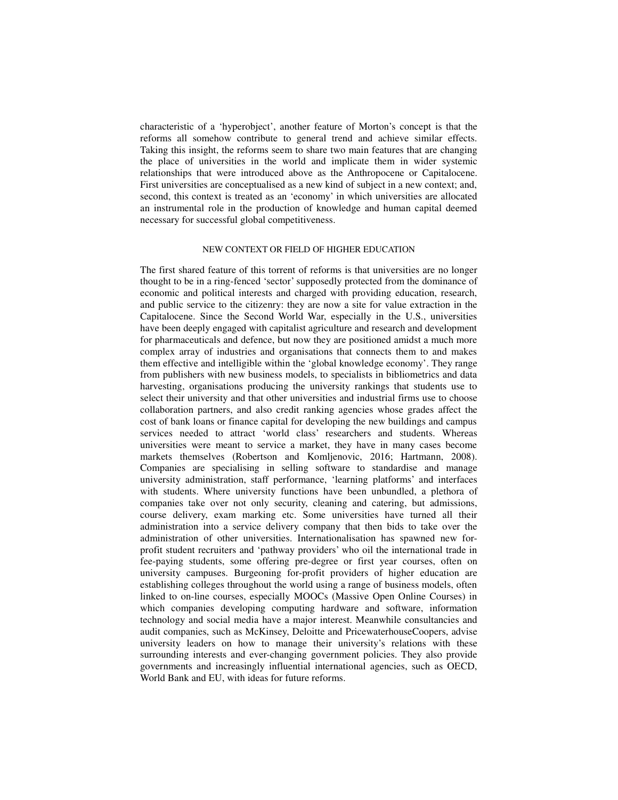characteristic of a 'hyperobject', another feature of Morton's concept is that the reforms all somehow contribute to general trend and achieve similar effects. Taking this insight, the reforms seem to share two main features that are changing the place of universities in the world and implicate them in wider systemic relationships that were introduced above as the Anthropocene or Capitalocene. First universities are conceptualised as a new kind of subject in a new context; and, second, this context is treated as an 'economy' in which universities are allocated an instrumental role in the production of knowledge and human capital deemed necessary for successful global competitiveness.

## NEW CONTEXT OR FIELD OF HIGHER EDUCATION

The first shared feature of this torrent of reforms is that universities are no longer thought to be in a ring-fenced 'sector' supposedly protected from the dominance of economic and political interests and charged with providing education, research, and public service to the citizenry: they are now a site for value extraction in the Capitalocene. Since the Second World War, especially in the U.S., universities have been deeply engaged with capitalist agriculture and research and development for pharmaceuticals and defence, but now they are positioned amidst a much more complex array of industries and organisations that connects them to and makes them effective and intelligible within the 'global knowledge economy'. They range from publishers with new business models, to specialists in bibliometrics and data harvesting, organisations producing the university rankings that students use to select their university and that other universities and industrial firms use to choose collaboration partners, and also credit ranking agencies whose grades affect the cost of bank loans or finance capital for developing the new buildings and campus services needed to attract 'world class' researchers and students. Whereas universities were meant to service a market, they have in many cases become markets themselves (Robertson and Komljenovic, 2016; Hartmann, 2008). Companies are specialising in selling software to standardise and manage university administration, staff performance, 'learning platforms' and interfaces with students. Where university functions have been unbundled, a plethora of companies take over not only security, cleaning and catering, but admissions, course delivery, exam marking etc. Some universities have turned all their administration into a service delivery company that then bids to take over the administration of other universities. Internationalisation has spawned new forprofit student recruiters and 'pathway providers' who oil the international trade in fee-paying students, some offering pre-degree or first year courses, often on university campuses. Burgeoning for-profit providers of higher education are establishing colleges throughout the world using a range of business models, often linked to on-line courses, especially MOOCs (Massive Open Online Courses) in which companies developing computing hardware and software, information technology and social media have a major interest. Meanwhile consultancies and audit companies, such as McKinsey, Deloitte and PricewaterhouseCoopers, advise university leaders on how to manage their university's relations with these surrounding interests and ever-changing government policies. They also provide governments and increasingly influential international agencies, such as OECD, World Bank and EU, with ideas for future reforms.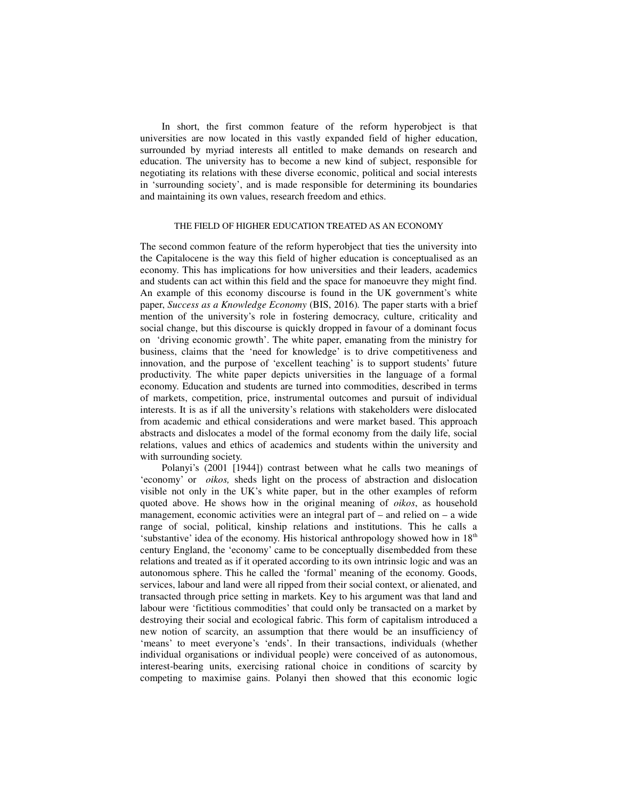In short, the first common feature of the reform hyperobject is that universities are now located in this vastly expanded field of higher education, surrounded by myriad interests all entitled to make demands on research and education. The university has to become a new kind of subject, responsible for negotiating its relations with these diverse economic, political and social interests in 'surrounding society', and is made responsible for determining its boundaries and maintaining its own values, research freedom and ethics.

### THE FIELD OF HIGHER EDUCATION TREATED AS AN ECONOMY

The second common feature of the reform hyperobject that ties the university into the Capitalocene is the way this field of higher education is conceptualised as an economy. This has implications for how universities and their leaders, academics and students can act within this field and the space for manoeuvre they might find. An example of this economy discourse is found in the UK government's white paper, *Success as a Knowledge Economy* (BIS, 2016)*.* The paper starts with a brief mention of the university's role in fostering democracy, culture, criticality and social change, but this discourse is quickly dropped in favour of a dominant focus on 'driving economic growth'. The white paper, emanating from the ministry for business, claims that the 'need for knowledge' is to drive competitiveness and innovation, and the purpose of 'excellent teaching' is to support students' future productivity. The white paper depicts universities in the language of a formal economy. Education and students are turned into commodities, described in terms of markets, competition, price, instrumental outcomes and pursuit of individual interests. It is as if all the university's relations with stakeholders were dislocated from academic and ethical considerations and were market based. This approach abstracts and dislocates a model of the formal economy from the daily life, social relations, values and ethics of academics and students within the university and with surrounding society.

Polanyi's (2001 [1944]) contrast between what he calls two meanings of 'economy' or *oikos,* sheds light on the process of abstraction and dislocation visible not only in the UK's white paper, but in the other examples of reform quoted above. He shows how in the original meaning of *oikos*, as household management, economic activities were an integral part of – and relied on – a wide range of social, political, kinship relations and institutions. This he calls a 'substantive' idea of the economy. His historical anthropology showed how in 18<sup>th</sup> century England, the 'economy' came to be conceptually disembedded from these relations and treated as if it operated according to its own intrinsic logic and was an autonomous sphere. This he called the 'formal' meaning of the economy. Goods, services, labour and land were all ripped from their social context, or alienated, and transacted through price setting in markets. Key to his argument was that land and labour were 'fictitious commodities' that could only be transacted on a market by destroying their social and ecological fabric. This form of capitalism introduced a new notion of scarcity, an assumption that there would be an insufficiency of 'means' to meet everyone's 'ends'. In their transactions, individuals (whether individual organisations or individual people) were conceived of as autonomous, interest-bearing units, exercising rational choice in conditions of scarcity by competing to maximise gains. Polanyi then showed that this economic logic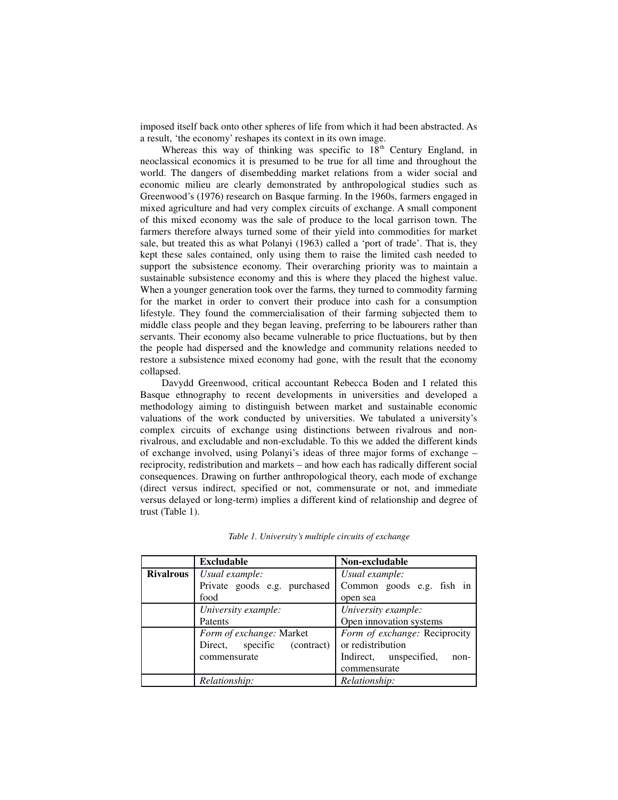imposed itself back onto other spheres of life from which it had been abstracted. As a result, 'the economy' reshapes its context in its own image.

Whereas this way of thinking was specific to 18<sup>th</sup> Century England, in neoclassical economics it is presumed to be true for all time and throughout the world. The dangers of disembedding market relations from a wider social and economic milieu are clearly demonstrated by anthropological studies such as Greenwood's (1976) research on Basque farming. In the 1960s, farmers engaged in mixed agriculture and had very complex circuits of exchange. A small component of this mixed economy was the sale of produce to the local garrison town. The farmers therefore always turned some of their yield into commodities for market sale, but treated this as what Polanyi (1963) called a 'port of trade'. That is, they kept these sales contained, only using them to raise the limited cash needed to support the subsistence economy. Their overarching priority was to maintain a sustainable subsistence economy and this is where they placed the highest value. When a younger generation took over the farms, they turned to commodity farming for the market in order to convert their produce into cash for a consumption lifestyle. They found the commercialisation of their farming subjected them to middle class people and they began leaving, preferring to be labourers rather than servants. Their economy also became vulnerable to price fluctuations, but by then the people had dispersed and the knowledge and community relations needed to restore a subsistence mixed economy had gone, with the result that the economy collapsed.

Davydd Greenwood, critical accountant Rebecca Boden and I related this Basque ethnography to recent developments in universities and developed a methodology aiming to distinguish between market and sustainable economic valuations of the work conducted by universities. We tabulated a university's complex circuits of exchange using distinctions between rivalrous and nonrivalrous, and excludable and non-excludable. To this we added the different kinds of exchange involved, using Polanyi's ideas of three major forms of exchange – reciprocity, redistribution and markets – and how each has radically different social consequences. Drawing on further anthropological theory, each mode of exchange (direct versus indirect, specified or not, commensurate or not, and immediate versus delayed or long-term) implies a different kind of relationship and degree of trust (Table 1).

|                  | <b>Excludable</b>            | Non-excludable                 |
|------------------|------------------------------|--------------------------------|
| <b>Rivalrous</b> | Usual example:               | Usual example:                 |
|                  | Private goods e.g. purchased | Common goods e.g. fish in      |
|                  | food                         | open sea                       |
|                  | University example:          | University example:            |
|                  | Patents                      | Open innovation systems        |
|                  | Form of exchange: Market     | Form of exchange: Reciprocity  |
|                  | Direct, specific (contract)  | or redistribution              |
|                  | commensurate                 | Indirect, unspecified,<br>non- |
|                  |                              | commensurate                   |
|                  | Relationship:                | Relationship:                  |

*Table 1. University's multiple circuits of exchange*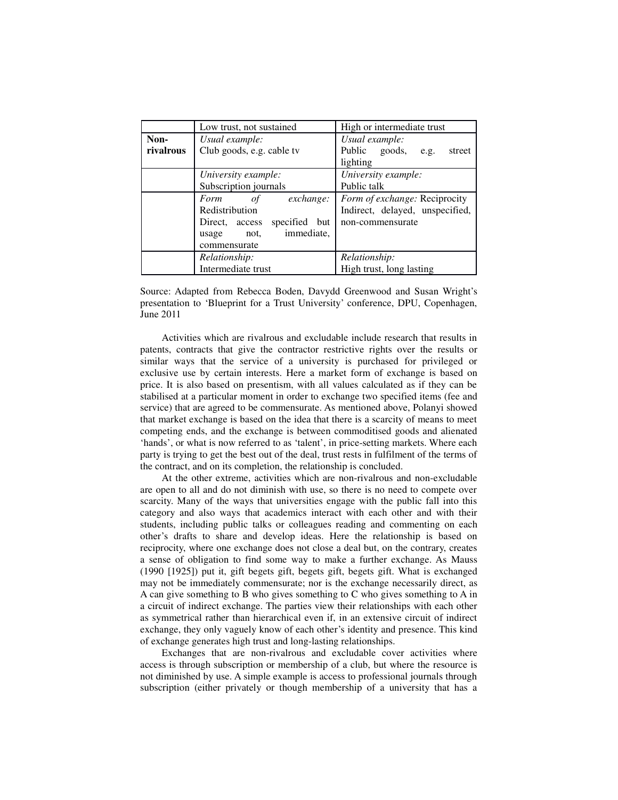|           | Low trust, not sustained        | High or intermediate trust      |
|-----------|---------------------------------|---------------------------------|
| Non-      | Usual example:                  | Usual example:                  |
| rivalrous | Club goods, e.g. cable tv       | Public goods,<br>street<br>e.g. |
|           |                                 | lighting                        |
|           | University example:             | University example:             |
|           | Subscription journals           | Public talk                     |
|           | exchange:<br>Form<br>of         | Form of exchange: Reciprocity   |
|           | Redistribution                  | Indirect, delayed, unspecified, |
|           | Direct, access specified<br>but | non-commensurate                |
|           | immediate,<br>not.<br>usage     |                                 |
|           | commensurate                    |                                 |
|           | Relationship:                   | Relationship:                   |
|           | Intermediate trust              | High trust, long lasting        |

Source: Adapted from Rebecca Boden, Davydd Greenwood and Susan Wright's presentation to 'Blueprint for a Trust University' conference, DPU, Copenhagen, June 2011

Activities which are rivalrous and excludable include research that results in patents, contracts that give the contractor restrictive rights over the results or similar ways that the service of a university is purchased for privileged or exclusive use by certain interests. Here a market form of exchange is based on price. It is also based on presentism, with all values calculated as if they can be stabilised at a particular moment in order to exchange two specified items (fee and service) that are agreed to be commensurate. As mentioned above, Polanyi showed that market exchange is based on the idea that there is a scarcity of means to meet competing ends, and the exchange is between commoditised goods and alienated 'hands', or what is now referred to as 'talent', in price-setting markets. Where each party is trying to get the best out of the deal, trust rests in fulfilment of the terms of the contract, and on its completion, the relationship is concluded.

At the other extreme, activities which are non-rivalrous and non-excludable are open to all and do not diminish with use, so there is no need to compete over scarcity. Many of the ways that universities engage with the public fall into this category and also ways that academics interact with each other and with their students, including public talks or colleagues reading and commenting on each other's drafts to share and develop ideas. Here the relationship is based on reciprocity, where one exchange does not close a deal but, on the contrary, creates a sense of obligation to find some way to make a further exchange. As Mauss (1990 [1925]) put it, gift begets gift, begets gift, begets gift. What is exchanged may not be immediately commensurate; nor is the exchange necessarily direct, as A can give something to B who gives something to C who gives something to A in a circuit of indirect exchange. The parties view their relationships with each other as symmetrical rather than hierarchical even if, in an extensive circuit of indirect exchange, they only vaguely know of each other's identity and presence. This kind of exchange generates high trust and long-lasting relationships.

Exchanges that are non-rivalrous and excludable cover activities where access is through subscription or membership of a club, but where the resource is not diminished by use. A simple example is access to professional journals through subscription (either privately or though membership of a university that has a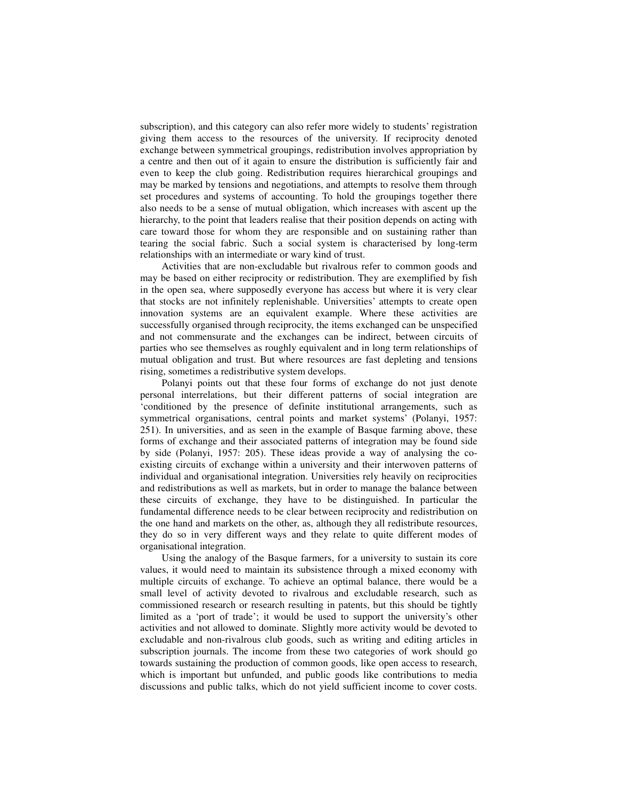subscription), and this category can also refer more widely to students' registration giving them access to the resources of the university. If reciprocity denoted exchange between symmetrical groupings, redistribution involves appropriation by a centre and then out of it again to ensure the distribution is sufficiently fair and even to keep the club going. Redistribution requires hierarchical groupings and may be marked by tensions and negotiations, and attempts to resolve them through set procedures and systems of accounting. To hold the groupings together there also needs to be a sense of mutual obligation, which increases with ascent up the hierarchy, to the point that leaders realise that their position depends on acting with care toward those for whom they are responsible and on sustaining rather than tearing the social fabric. Such a social system is characterised by long-term relationships with an intermediate or wary kind of trust.

Activities that are non-excludable but rivalrous refer to common goods and may be based on either reciprocity or redistribution. They are exemplified by fish in the open sea, where supposedly everyone has access but where it is very clear that stocks are not infinitely replenishable. Universities' attempts to create open innovation systems are an equivalent example. Where these activities are successfully organised through reciprocity, the items exchanged can be unspecified and not commensurate and the exchanges can be indirect, between circuits of parties who see themselves as roughly equivalent and in long term relationships of mutual obligation and trust. But where resources are fast depleting and tensions rising, sometimes a redistributive system develops.

Polanyi points out that these four forms of exchange do not just denote personal interrelations, but their different patterns of social integration are 'conditioned by the presence of definite institutional arrangements, such as symmetrical organisations, central points and market systems' (Polanyi, 1957: 251). In universities, and as seen in the example of Basque farming above, these forms of exchange and their associated patterns of integration may be found side by side (Polanyi, 1957: 205). These ideas provide a way of analysing the coexisting circuits of exchange within a university and their interwoven patterns of individual and organisational integration. Universities rely heavily on reciprocities and redistributions as well as markets, but in order to manage the balance between these circuits of exchange, they have to be distinguished. In particular the fundamental difference needs to be clear between reciprocity and redistribution on the one hand and markets on the other, as, although they all redistribute resources, they do so in very different ways and they relate to quite different modes of organisational integration.

Using the analogy of the Basque farmers, for a university to sustain its core values, it would need to maintain its subsistence through a mixed economy with multiple circuits of exchange. To achieve an optimal balance, there would be a small level of activity devoted to rivalrous and excludable research, such as commissioned research or research resulting in patents, but this should be tightly limited as a 'port of trade'; it would be used to support the university's other activities and not allowed to dominate. Slightly more activity would be devoted to excludable and non-rivalrous club goods, such as writing and editing articles in subscription journals. The income from these two categories of work should go towards sustaining the production of common goods, like open access to research, which is important but unfunded, and public goods like contributions to media discussions and public talks, which do not yield sufficient income to cover costs.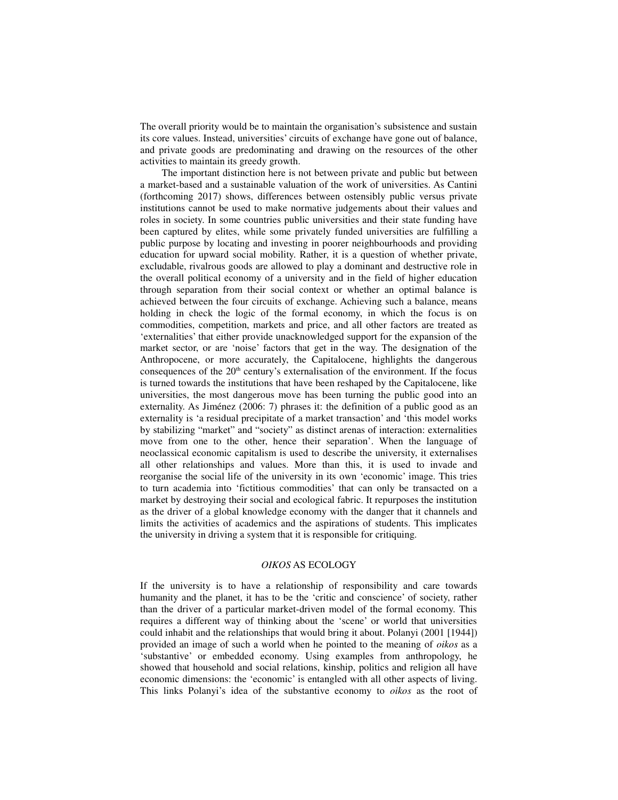The overall priority would be to maintain the organisation's subsistence and sustain its core values. Instead, universities' circuits of exchange have gone out of balance, and private goods are predominating and drawing on the resources of the other activities to maintain its greedy growth.

The important distinction here is not between private and public but between a market-based and a sustainable valuation of the work of universities. As Cantini (forthcoming 2017) shows, differences between ostensibly public versus private institutions cannot be used to make normative judgements about their values and roles in society. In some countries public universities and their state funding have been captured by elites, while some privately funded universities are fulfilling a public purpose by locating and investing in poorer neighbourhoods and providing education for upward social mobility. Rather, it is a question of whether private, excludable, rivalrous goods are allowed to play a dominant and destructive role in the overall political economy of a university and in the field of higher education through separation from their social context or whether an optimal balance is achieved between the four circuits of exchange. Achieving such a balance, means holding in check the logic of the formal economy, in which the focus is on commodities, competition, markets and price, and all other factors are treated as 'externalities' that either provide unacknowledged support for the expansion of the market sector, or are 'noise' factors that get in the way. The designation of the Anthropocene, or more accurately, the Capitalocene, highlights the dangerous consequences of the  $20<sup>th</sup>$  century's externalisation of the environment. If the focus is turned towards the institutions that have been reshaped by the Capitalocene, like universities, the most dangerous move has been turning the public good into an externality. As Jiménez (2006: 7) phrases it: the definition of a public good as an externality is 'a residual precipitate of a market transaction' and 'this model works by stabilizing "market" and "society" as distinct arenas of interaction: externalities move from one to the other, hence their separation'. When the language of neoclassical economic capitalism is used to describe the university, it externalises all other relationships and values. More than this, it is used to invade and reorganise the social life of the university in its own 'economic' image. This tries to turn academia into 'fictitious commodities' that can only be transacted on a market by destroying their social and ecological fabric. It repurposes the institution as the driver of a global knowledge economy with the danger that it channels and limits the activities of academics and the aspirations of students. This implicates the university in driving a system that it is responsible for critiquing.

#### *OIKOS* AS ECOLOGY

If the university is to have a relationship of responsibility and care towards humanity and the planet, it has to be the 'critic and conscience' of society, rather than the driver of a particular market-driven model of the formal economy. This requires a different way of thinking about the 'scene' or world that universities could inhabit and the relationships that would bring it about. Polanyi (2001 [1944]) provided an image of such a world when he pointed to the meaning of *oikos* as a 'substantive' or embedded economy. Using examples from anthropology, he showed that household and social relations, kinship, politics and religion all have economic dimensions: the 'economic' is entangled with all other aspects of living. This links Polanyi's idea of the substantive economy to *oikos* as the root of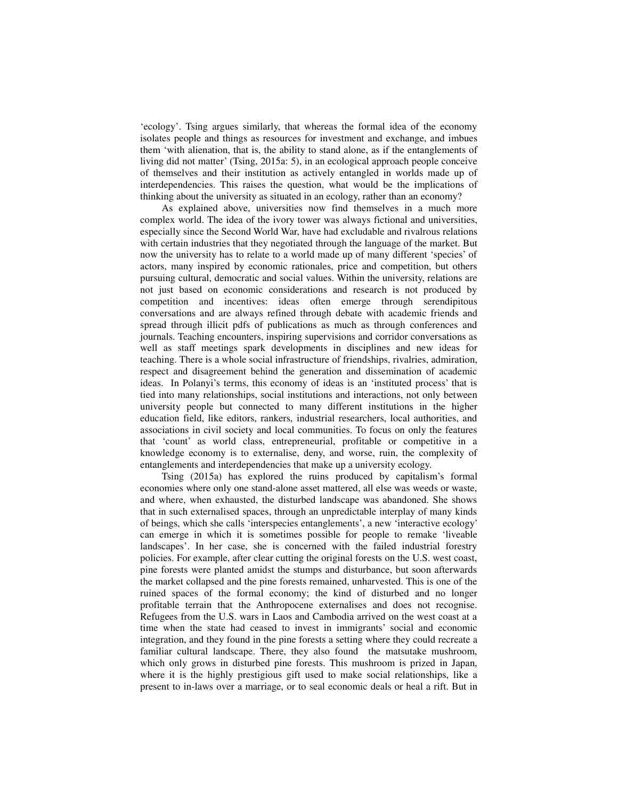'ecology'. Tsing argues similarly, that whereas the formal idea of the economy isolates people and things as resources for investment and exchange, and imbues them 'with alienation, that is, the ability to stand alone, as if the entanglements of living did not matter' (Tsing, 2015a: 5), in an ecological approach people conceive of themselves and their institution as actively entangled in worlds made up of interdependencies. This raises the question, what would be the implications of thinking about the university as situated in an ecology, rather than an economy?

As explained above, universities now find themselves in a much more complex world. The idea of the ivory tower was always fictional and universities, especially since the Second World War, have had excludable and rivalrous relations with certain industries that they negotiated through the language of the market. But now the university has to relate to a world made up of many different 'species' of actors, many inspired by economic rationales, price and competition, but others pursuing cultural, democratic and social values. Within the university, relations are not just based on economic considerations and research is not produced by competition and incentives: ideas often emerge through serendipitous conversations and are always refined through debate with academic friends and spread through illicit pdfs of publications as much as through conferences and journals. Teaching encounters, inspiring supervisions and corridor conversations as well as staff meetings spark developments in disciplines and new ideas for teaching. There is a whole social infrastructure of friendships, rivalries, admiration, respect and disagreement behind the generation and dissemination of academic ideas. In Polanyi's terms, this economy of ideas is an 'instituted process' that is tied into many relationships, social institutions and interactions, not only between university people but connected to many different institutions in the higher education field, like editors, rankers, industrial researchers, local authorities, and associations in civil society and local communities. To focus on only the features that 'count' as world class, entrepreneurial, profitable or competitive in a knowledge economy is to externalise, deny, and worse, ruin, the complexity of entanglements and interdependencies that make up a university ecology.

Tsing (2015a) has explored the ruins produced by capitalism's formal economies where only one stand-alone asset mattered, all else was weeds or waste, and where, when exhausted, the disturbed landscape was abandoned. She shows that in such externalised spaces, through an unpredictable interplay of many kinds of beings, which she calls 'interspecies entanglements', a new 'interactive ecology' can emerge in which it is sometimes possible for people to remake 'liveable landscapes'. In her case, she is concerned with the failed industrial forestry policies. For example, after clear cutting the original forests on the U.S. west coast, pine forests were planted amidst the stumps and disturbance, but soon afterwards the market collapsed and the pine forests remained, unharvested. This is one of the ruined spaces of the formal economy; the kind of disturbed and no longer profitable terrain that the Anthropocene externalises and does not recognise. Refugees from the U.S. wars in Laos and Cambodia arrived on the west coast at a time when the state had ceased to invest in immigrants' social and economic integration, and they found in the pine forests a setting where they could recreate a familiar cultural landscape. There, they also found the matsutake mushroom, which only grows in disturbed pine forests. This mushroom is prized in Japan, where it is the highly prestigious gift used to make social relationships, like a present to in-laws over a marriage, or to seal economic deals or heal a rift. But in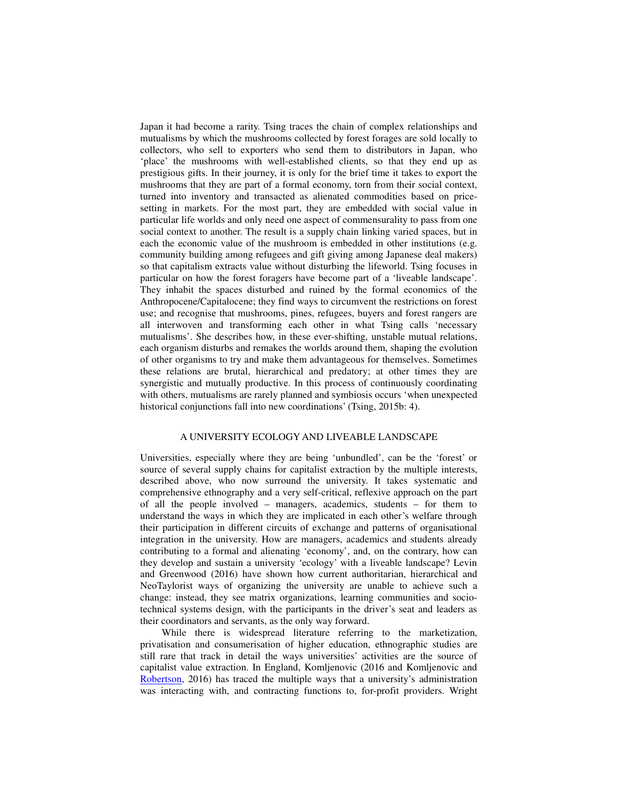Japan it had become a rarity. Tsing traces the chain of complex relationships and mutualisms by which the mushrooms collected by forest forages are sold locally to collectors, who sell to exporters who send them to distributors in Japan, who 'place' the mushrooms with well-established clients, so that they end up as prestigious gifts. In their journey, it is only for the brief time it takes to export the mushrooms that they are part of a formal economy, torn from their social context, turned into inventory and transacted as alienated commodities based on pricesetting in markets. For the most part, they are embedded with social value in particular life worlds and only need one aspect of commensurality to pass from one social context to another. The result is a supply chain linking varied spaces, but in each the economic value of the mushroom is embedded in other institutions (e.g. community building among refugees and gift giving among Japanese deal makers) so that capitalism extracts value without disturbing the lifeworld. Tsing focuses in particular on how the forest foragers have become part of a 'liveable landscape'. They inhabit the spaces disturbed and ruined by the formal economics of the Anthropocene/Capitalocene; they find ways to circumvent the restrictions on forest use; and recognise that mushrooms, pines, refugees, buyers and forest rangers are all interwoven and transforming each other in what Tsing calls 'necessary mutualisms'. She describes how, in these ever-shifting, unstable mutual relations, each organism disturbs and remakes the worlds around them, shaping the evolution of other organisms to try and make them advantageous for themselves. Sometimes these relations are brutal, hierarchical and predatory; at other times they are synergistic and mutually productive. In this process of continuously coordinating with others, mutualisms are rarely planned and symbiosis occurs 'when unexpected historical conjunctions fall into new coordinations' (Tsing, 2015b: 4).

### A UNIVERSITY ECOLOGY AND LIVEABLE LANDSCAPE

Universities, especially where they are being 'unbundled', can be the 'forest' or source of several supply chains for capitalist extraction by the multiple interests, described above, who now surround the university. It takes systematic and comprehensive ethnography and a very self-critical, reflexive approach on the part of all the people involved – managers, academics, students – for them to understand the ways in which they are implicated in each other's welfare through their participation in different circuits of exchange and patterns of organisational integration in the university. How are managers, academics and students already contributing to a formal and alienating 'economy', and, on the contrary, how can they develop and sustain a university 'ecology' with a liveable landscape? Levin and Greenwood (2016) have shown how current authoritarian, hierarchical and NeoTaylorist ways of organizing the university are unable to achieve such a change: instead, they see matrix organizations, learning communities and sociotechnical systems design, with the participants in the driver's seat and leaders as their coordinators and servants, as the only way forward.

While there is widespread literature referring to the marketization, privatisation and consumerisation of higher education, ethnographic studies are still rare that track in detail the ways universities' activities are the source of capitalist value extraction. In England, Komljenovic (2016 and Komljenovic and Robertson, 2016) has traced the multiple ways that a university's administration was interacting with, and contracting functions to, for-profit providers. Wright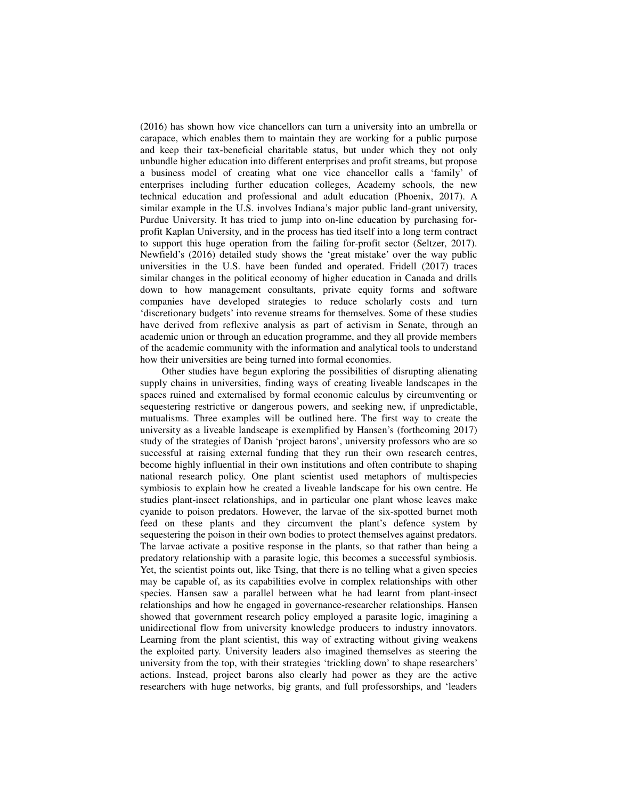(2016) has shown how vice chancellors can turn a university into an umbrella or carapace, which enables them to maintain they are working for a public purpose and keep their tax-beneficial charitable status, but under which they not only unbundle higher education into different enterprises and profit streams, but propose a business model of creating what one vice chancellor calls a 'family' of enterprises including further education colleges, Academy schools, the new technical education and professional and adult education (Phoenix, 2017). A similar example in the U.S. involves Indiana's major public land-grant university, Purdue University. It has tried to jump into on-line education by purchasing forprofit Kaplan University, and in the process has tied itself into a long term contract to support this huge operation from the failing for-profit sector (Seltzer, 2017). Newfield's (2016) detailed study shows the 'great mistake' over the way public universities in the U.S. have been funded and operated. Fridell (2017) traces similar changes in the political economy of higher education in Canada and drills down to how management consultants, private equity forms and software companies have developed strategies to reduce scholarly costs and turn 'discretionary budgets' into revenue streams for themselves. Some of these studies have derived from reflexive analysis as part of activism in Senate, through an academic union or through an education programme, and they all provide members of the academic community with the information and analytical tools to understand how their universities are being turned into formal economies.

Other studies have begun exploring the possibilities of disrupting alienating supply chains in universities, finding ways of creating liveable landscapes in the spaces ruined and externalised by formal economic calculus by circumventing or sequestering restrictive or dangerous powers, and seeking new, if unpredictable, mutualisms. Three examples will be outlined here. The first way to create the university as a liveable landscape is exemplified by Hansen's (forthcoming 2017) study of the strategies of Danish 'project barons', university professors who are so successful at raising external funding that they run their own research centres, become highly influential in their own institutions and often contribute to shaping national research policy. One plant scientist used metaphors of multispecies symbiosis to explain how he created a liveable landscape for his own centre. He studies plant-insect relationships, and in particular one plant whose leaves make cyanide to poison predators. However, the larvae of the six-spotted burnet moth feed on these plants and they circumvent the plant's defence system by sequestering the poison in their own bodies to protect themselves against predators. The larvae activate a positive response in the plants, so that rather than being a predatory relationship with a parasite logic, this becomes a successful symbiosis. Yet, the scientist points out, like Tsing, that there is no telling what a given species may be capable of, as its capabilities evolve in complex relationships with other species. Hansen saw a parallel between what he had learnt from plant-insect relationships and how he engaged in governance-researcher relationships. Hansen showed that government research policy employed a parasite logic, imagining a unidirectional flow from university knowledge producers to industry innovators. Learning from the plant scientist, this way of extracting without giving weakens the exploited party. University leaders also imagined themselves as steering the university from the top, with their strategies 'trickling down' to shape researchers' actions. Instead, project barons also clearly had power as they are the active researchers with huge networks, big grants, and full professorships, and 'leaders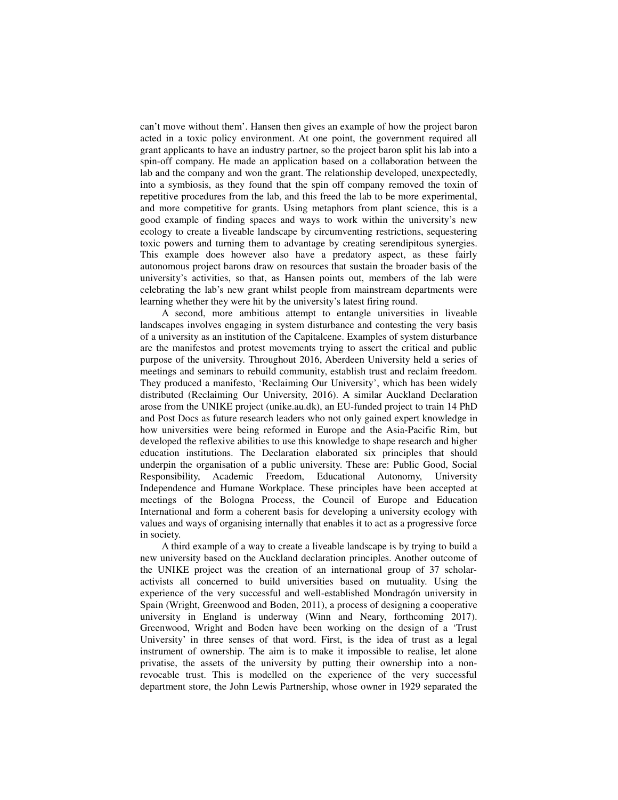can't move without them'. Hansen then gives an example of how the project baron acted in a toxic policy environment. At one point, the government required all grant applicants to have an industry partner, so the project baron split his lab into a spin-off company. He made an application based on a collaboration between the lab and the company and won the grant. The relationship developed, unexpectedly, into a symbiosis, as they found that the spin off company removed the toxin of repetitive procedures from the lab, and this freed the lab to be more experimental, and more competitive for grants. Using metaphors from plant science, this is a good example of finding spaces and ways to work within the university's new ecology to create a liveable landscape by circumventing restrictions, sequestering toxic powers and turning them to advantage by creating serendipitous synergies. This example does however also have a predatory aspect, as these fairly autonomous project barons draw on resources that sustain the broader basis of the university's activities, so that, as Hansen points out, members of the lab were celebrating the lab's new grant whilst people from mainstream departments were learning whether they were hit by the university's latest firing round.

A second, more ambitious attempt to entangle universities in liveable landscapes involves engaging in system disturbance and contesting the very basis of a university as an institution of the Capitalcene. Examples of system disturbance are the manifestos and protest movements trying to assert the critical and public purpose of the university. Throughout 2016, Aberdeen University held a series of meetings and seminars to rebuild community, establish trust and reclaim freedom. They produced a manifesto, 'Reclaiming Our University', which has been widely distributed (Reclaiming Our University, 2016). A similar Auckland Declaration arose from the UNIKE project (unike.au.dk), an EU-funded project to train 14 PhD and Post Docs as future research leaders who not only gained expert knowledge in how universities were being reformed in Europe and the Asia-Pacific Rim, but developed the reflexive abilities to use this knowledge to shape research and higher education institutions. The Declaration elaborated six principles that should underpin the organisation of a public university. These are: Public Good, Social Responsibility, Academic Freedom, Educational Autonomy, University Independence and Humane Workplace. These principles have been accepted at meetings of the Bologna Process, the Council of Europe and Education International and form a coherent basis for developing a university ecology with values and ways of organising internally that enables it to act as a progressive force in society.

A third example of a way to create a liveable landscape is by trying to build a new university based on the Auckland declaration principles. Another outcome of the UNIKE project was the creation of an international group of 37 scholaractivists all concerned to build universities based on mutuality. Using the experience of the very successful and well-established Mondragón university in Spain (Wright, Greenwood and Boden, 2011), a process of designing a cooperative university in England is underway (Winn and Neary, forthcoming 2017). Greenwood, Wright and Boden have been working on the design of a 'Trust University' in three senses of that word. First, is the idea of trust as a legal instrument of ownership. The aim is to make it impossible to realise, let alone privatise, the assets of the university by putting their ownership into a nonrevocable trust. This is modelled on the experience of the very successful department store, the John Lewis Partnership, whose owner in 1929 separated the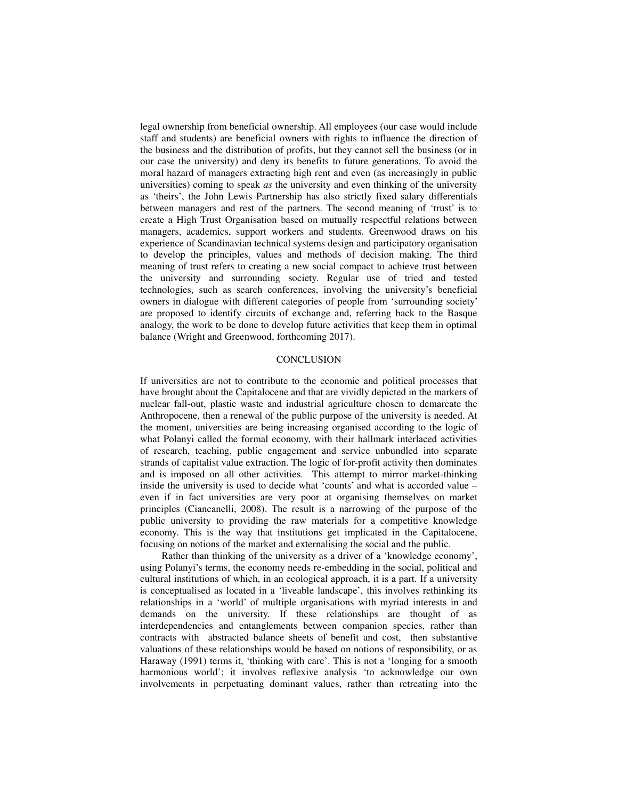legal ownership from beneficial ownership. All employees (our case would include staff and students) are beneficial owners with rights to influence the direction of the business and the distribution of profits, but they cannot sell the business (or in our case the university) and deny its benefits to future generations. To avoid the moral hazard of managers extracting high rent and even (as increasingly in public universities) coming to speak *as* the university and even thinking of the university as 'theirs', the John Lewis Partnership has also strictly fixed salary differentials between managers and rest of the partners. The second meaning of 'trust' is to create a High Trust Organisation based on mutually respectful relations between managers, academics, support workers and students. Greenwood draws on his experience of Scandinavian technical systems design and participatory organisation to develop the principles, values and methods of decision making. The third meaning of trust refers to creating a new social compact to achieve trust between the university and surrounding society. Regular use of tried and tested technologies, such as search conferences, involving the university's beneficial owners in dialogue with different categories of people from 'surrounding society' are proposed to identify circuits of exchange and, referring back to the Basque analogy, the work to be done to develop future activities that keep them in optimal balance (Wright and Greenwood, forthcoming 2017).

#### **CONCLUSION**

If universities are not to contribute to the economic and political processes that have brought about the Capitalocene and that are vividly depicted in the markers of nuclear fall-out, plastic waste and industrial agriculture chosen to demarcate the Anthropocene, then a renewal of the public purpose of the university is needed. At the moment, universities are being increasing organised according to the logic of what Polanyi called the formal economy, with their hallmark interlaced activities of research, teaching, public engagement and service unbundled into separate strands of capitalist value extraction. The logic of for-profit activity then dominates and is imposed on all other activities. This attempt to mirror market-thinking inside the university is used to decide what 'counts' and what is accorded value – even if in fact universities are very poor at organising themselves on market principles (Ciancanelli, 2008). The result is a narrowing of the purpose of the public university to providing the raw materials for a competitive knowledge economy. This is the way that institutions get implicated in the Capitalocene, focusing on notions of the market and externalising the social and the public.

Rather than thinking of the university as a driver of a 'knowledge economy', using Polanyi's terms, the economy needs re-embedding in the social, political and cultural institutions of which, in an ecological approach, it is a part. If a university is conceptualised as located in a 'liveable landscape', this involves rethinking its relationships in a 'world' of multiple organisations with myriad interests in and demands on the university. If these relationships are thought of as interdependencies and entanglements between companion species, rather than contracts with abstracted balance sheets of benefit and cost, then substantive valuations of these relationships would be based on notions of responsibility, or as Haraway (1991) terms it, 'thinking with care'. This is not a 'longing for a smooth harmonious world'; it involves reflexive analysis 'to acknowledge our own involvements in perpetuating dominant values, rather than retreating into the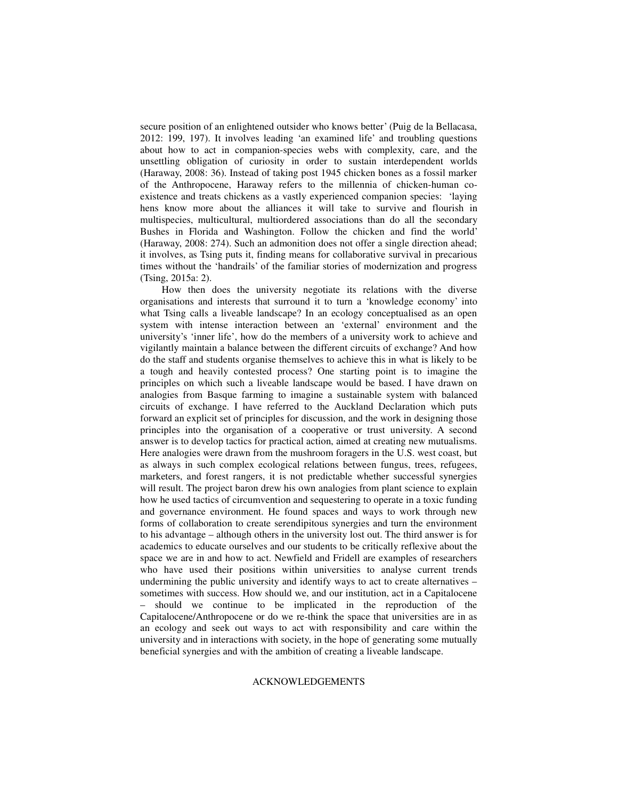secure position of an enlightened outsider who knows better' (Puig de la Bellacasa, 2012: 199, 197). It involves leading 'an examined life' and troubling questions about how to act in companion-species webs with complexity, care, and the unsettling obligation of curiosity in order to sustain interdependent worlds (Haraway, 2008: 36). Instead of taking post 1945 chicken bones as a fossil marker of the Anthropocene, Haraway refers to the millennia of chicken-human coexistence and treats chickens as a vastly experienced companion species: 'laying hens know more about the alliances it will take to survive and flourish in multispecies, multicultural, multiordered associations than do all the secondary Bushes in Florida and Washington. Follow the chicken and find the world' (Haraway, 2008: 274). Such an admonition does not offer a single direction ahead; it involves, as Tsing puts it, finding means for collaborative survival in precarious times without the 'handrails' of the familiar stories of modernization and progress (Tsing, 2015a: 2).

How then does the university negotiate its relations with the diverse organisations and interests that surround it to turn a 'knowledge economy' into what Tsing calls a liveable landscape? In an ecology conceptualised as an open system with intense interaction between an 'external' environment and the university's 'inner life', how do the members of a university work to achieve and vigilantly maintain a balance between the different circuits of exchange? And how do the staff and students organise themselves to achieve this in what is likely to be a tough and heavily contested process? One starting point is to imagine the principles on which such a liveable landscape would be based. I have drawn on analogies from Basque farming to imagine a sustainable system with balanced circuits of exchange. I have referred to the Auckland Declaration which puts forward an explicit set of principles for discussion, and the work in designing those principles into the organisation of a cooperative or trust university. A second answer is to develop tactics for practical action, aimed at creating new mutualisms. Here analogies were drawn from the mushroom foragers in the U.S. west coast, but as always in such complex ecological relations between fungus, trees, refugees, marketers, and forest rangers, it is not predictable whether successful synergies will result. The project baron drew his own analogies from plant science to explain how he used tactics of circumvention and sequestering to operate in a toxic funding and governance environment. He found spaces and ways to work through new forms of collaboration to create serendipitous synergies and turn the environment to his advantage – although others in the university lost out. The third answer is for academics to educate ourselves and our students to be critically reflexive about the space we are in and how to act. Newfield and Fridell are examples of researchers who have used their positions within universities to analyse current trends undermining the public university and identify ways to act to create alternatives – sometimes with success. How should we, and our institution, act in a Capitalocene – should we continue to be implicated in the reproduction of the Capitalocene/Anthropocene or do we re-think the space that universities are in as an ecology and seek out ways to act with responsibility and care within the university and in interactions with society, in the hope of generating some mutually beneficial synergies and with the ambition of creating a liveable landscape.

## ACKNOWLEDGEMENTS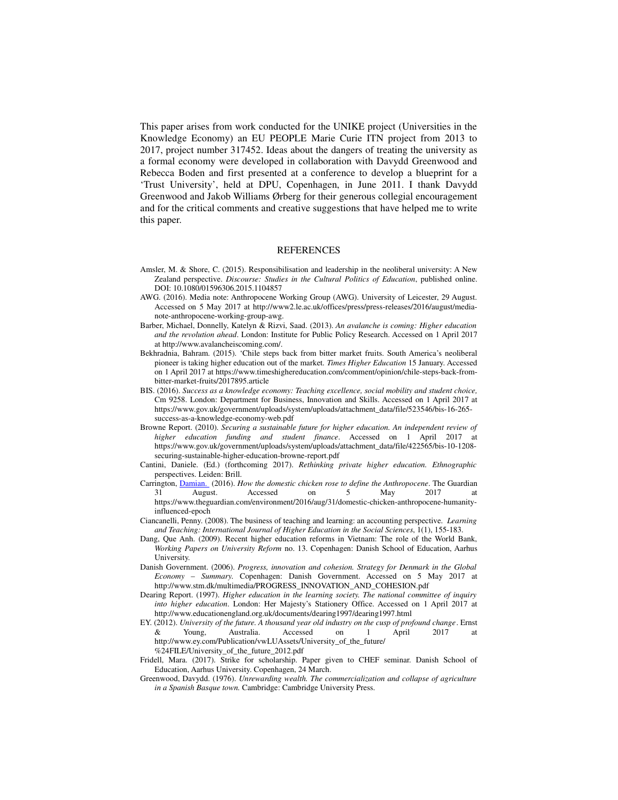This paper arises from work conducted for the UNIKE project (Universities in the Knowledge Economy) an EU PEOPLE Marie Curie ITN project from 2013 to 2017, project number 317452. Ideas about the dangers of treating the university as a formal economy were developed in collaboration with Davydd Greenwood and Rebecca Boden and first presented at a conference to develop a blueprint for a 'Trust University', held at DPU, Copenhagen, in June 2011. I thank Davydd Greenwood and Jakob Williams Ørberg for their generous collegial encouragement and for the critical comments and creative suggestions that have helped me to write this paper.

#### REFERENCES

- Amsler, M. & Shore, C. (2015). Responsibilisation and leadership in the neoliberal university: A New Zealand perspective. *Discourse: Studies in the Cultural Politics of Education*, published online. DOI: 10.1080/01596306.2015.1104857
- AWG. (2016). Media note: Anthropocene Working Group (AWG). University of Leicester, 29 August. Accessed on 5 May 2017 at http://www2.le.ac.uk/offices/press/press-releases/2016/august/medianote-anthropocene-working-group-awg.
- Barber, Michael, Donnelly, Katelyn & Rizvi, Saad. (2013). *An avalanche is coming: Higher education and the revolution ahead*. London: Institute for Public Policy Research. Accessed on 1 April 2017 at http://www.avalancheiscoming.com/.
- Bekhradnia, Bahram. (2015). 'Chile steps back from bitter market fruits. South America's neoliberal pioneer is taking higher education out of the market. *Times Higher Education* 15 January. Accessed on 1 April 2017 at https://www.timeshighereducation.com/comment/opinion/chile-steps-back-frombitter-market-fruits/2017895.article
- BIS. (2016). *Success as a knowledge economy: Teaching excellence, social mobility and student choice,* Cm 9258. London: Department for Business, Innovation and Skills. Accessed on 1 April 2017 at https://www.gov.uk/government/uploads/system/uploads/attachment\_data/file/523546/bis-16-265 success-as-a-knowledge-economy-web.pdf
- Browne Report. (2010). *Securing a sustainable future for higher education. An independent review of higher education funding and student finance*. Accessed on 1 April 2017 at https://www.gov.uk/government/uploads/system/uploads/attachment\_data/file/422565/bis-10-1208 securing-sustainable-higher-education-browne-report.pdf
- Cantini, Daniele. (Ed.) (forthcoming 2017). *Rethinking private higher education. Ethnographic* perspectives. Leiden: Brill.
- Carrington, <u>Damian.</u> (2016). *How the domestic chicken rose to define the Anthropocene*. The Guardian 31 August. Accessed on 5 May 2017 at 31 August. Accessed on 5 May 2017 at https://www.theguardian.com/environment/2016/aug/31/domestic-chicken-anthropocene-humanityinfluenced-epoch
- Ciancanelli, Penny. (2008). The business of teaching and learning: an accounting perspective. *Learning and Teaching: International Journal of Higher Education in the Social Sciences*, 1(1), 155-183.
- Dang, Que Anh. (2009). Recent higher education reforms in Vietnam: The role of the World Bank, *Working Papers on University Reform* no. 13. Copenhagen: Danish School of Education, Aarhus University.
- Danish Government. (2006). *Progress, innovation and cohesion. Strategy for Denmark in the Global Economy – Summary*. Copenhagen: Danish Government. Accessed on 5 May 2017 at http://www.stm.dk/multimedia/PROGRESS\_INNOVATION\_AND\_COHESION.pdf
- Dearing Report. (1997). *Higher education in the learning society. The national committee of inquiry into higher education*. London: Her Majesty's Stationery Office. Accessed on 1 April 2017 at http://www.educationengland.org.uk/documents/dearing1997/dearing1997.html
- EY. (2012). *University of the future. A thousand year old industry on the cusp of profound change*. Ernst & Young, Australia. Accessed on 1 April 2017 at & Young, Australia. Accessed on 1 April 2017 at http://www.ey.com/Publication/vwLUAssets/University\_of\_the\_future/ %24FILE/University\_of\_the\_future\_2012.pdf
- Fridell, Mara. (2017). Strike for scholarship. Paper given to CHEF seminar. Danish School of Education, Aarhus University. Copenhagen, 24 March.
- Greenwood, Davydd. (1976). *Unrewarding wealth. The commercialization and collapse of agriculture in a Spanish Basque town.* Cambridge: Cambridge University Press.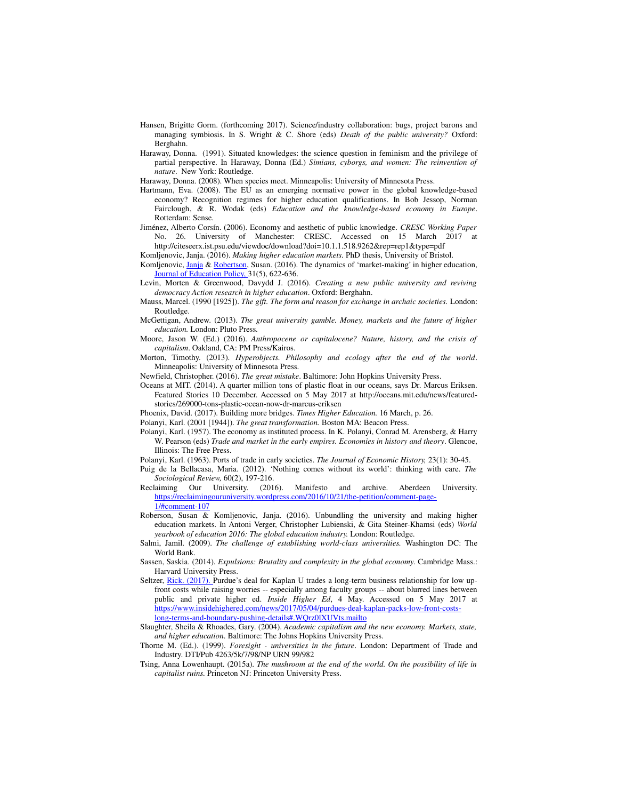- Hansen, Brigitte Gorm. (forthcoming 2017). Science/industry collaboration: bugs, project barons and managing symbiosis. In S. Wright & C. Shore (eds) *Death of the public university?* Oxford: Berghahn.
- Haraway, Donna. (1991). Situated knowledges: the science question in feminism and the privilege of partial perspective. In Haraway, Donna (Ed.) *Simians, cyborgs, and women: The reinvention of nature*. New York: Routledge.

Haraway, Donna. (2008). When species meet. Minneapolis: University of Minnesota Press.

- Hartmann, Eva. (2008). The EU as an emerging normative power in the global knowledge-based economy? Recognition regimes for higher education qualifications. In Bob Jessop, Norman Fairclough, & R. Wodak (eds) *Education and the knowledge-based economy in Europe*. Rotterdam: Sense.
- Jiménez, Alberto Corsín. (2006). Economy and aesthetic of public knowledge. *CRESC Working Paper* No. 26. University of Manchester: CRESC. Accessed on 15 March 2017 at http://citeseerx.ist.psu.edu/viewdoc/download?doi=10.1.1.518.9262&rep=rep1&type=pdf
- Komljenovic, Janja. (2016). *Making higher education markets.* PhD thesis, University of Bristol.

Komljenovic, Janja & Robertson, Susan. (2016). The dynamics of 'market-making' in higher education, Journal of Education Policy, 31(5), 622-636.

- Levin, Morten & Greenwood, Davydd J. (2016). *Creating a new public university and reviving democracy Action research in higher education*. Oxford: Berghahn.
- Mauss, Marcel. (1990 [1925]). *The gift. The form and reason for exchange in archaic societies.* London: Routledge.
- McGettigan, Andrew. (2013). *The great university gamble. Money, markets and the future of higher education.* London: Pluto Press.
- Moore, Jason W. (Ed.) (2016). *Anthropocene or capitalocene? Nature, history, and the crisis of capitalism*. Oakland, CA: PM Press/Kairos.
- Morton, Timothy. (2013). *Hyperobjects. Philosophy and ecology after the end of the world*. Minneapolis: University of Minnesota Press.
- Newfield, Christopher. (2016). *The great mistake*. Baltimore: John Hopkins University Press.
- Oceans at MIT. (2014). A quarter million tons of plastic float in our oceans, says Dr. Marcus Eriksen. Featured Stories 10 December. Accessed on 5 May 2017 at http://oceans.mit.edu/news/featuredstories/269000-tons-plastic-ocean-now-dr-marcus-eriksen
- Phoenix, David. (2017). Building more bridges. *Times Higher Education.* 16 March, p. 26.
- Polanyi, Karl. (2001 [1944]). *The great transformation.* Boston MA: Beacon Press.
- Polanyi, Karl. (1957). The economy as instituted process. In K. Polanyi, Conrad M. Arensberg, & Harry W. Pearson (eds) *Trade and market in the early empires. Economies in history and theory*. Glencoe, Illinois: The Free Press.
- Polanyi, Karl. (1963). Ports of trade in early societies. *The Journal of Economic History,* 23(1): 30-45.
- Puig de la Bellacasa, Maria. (2012). 'Nothing comes without its world': thinking with care. *The Sociological Review,* 60(2), 197-216.
- Reclaiming Our University. (2016). Manifesto and archive. Aberdeen University. https://reclaimingouruniversity.wordpress.com/2016/10/21/the-petition/comment-page-1/#comment-107
- Roberson, Susan & Komljenovic, Janja. (2016). Unbundling the university and making higher education markets. In Antoni Verger, Christopher Lubienski, & Gita Steiner-Khamsi (eds) *World yearbook of education 2016: The global education industry.* London: Routledge.
- Salmi, Jamil. (2009). *The challenge of establishing world-class universities.* Washington DC: The World Bank.
- Sassen, Saskia. (2014). *Expulsions: Brutality and complexity in the global economy*. Cambridge Mass.: Harvard University Press.
- Seltzer, Rick. (2017). Purdue's deal for Kaplan U trades a long-term business relationship for low upfront costs while raising worries -- especially among faculty groups -- about blurred lines between public and private higher ed. *Inside Higher Ed*, 4 May. Accessed on 5 May 2017 at https://www.insidehighered.com/news/2017/05/04/purdues-deal-kaplan-packs-low-front-costslong-terms-and-boundary-pushing-details#.WQrz0lXUVts.mailto
- Slaughter, Sheila & Rhoades, Gary. (2004). *Academic capitalism and the new economy. Markets, state, and higher education*. Baltimore: The Johns Hopkins University Press.
- Thorne M. (Ed.). (1999). *Foresight universities in the future*. London: Department of Trade and Industry. DTI/Pub 4263/5k/7/98/NP URN 99/982
- Tsing, Anna Lowenhaupt. (2015a). *The mushroom at the end of the world. On the possibility of life in capitalist ruins.* Princeton NJ: Princeton University Press.